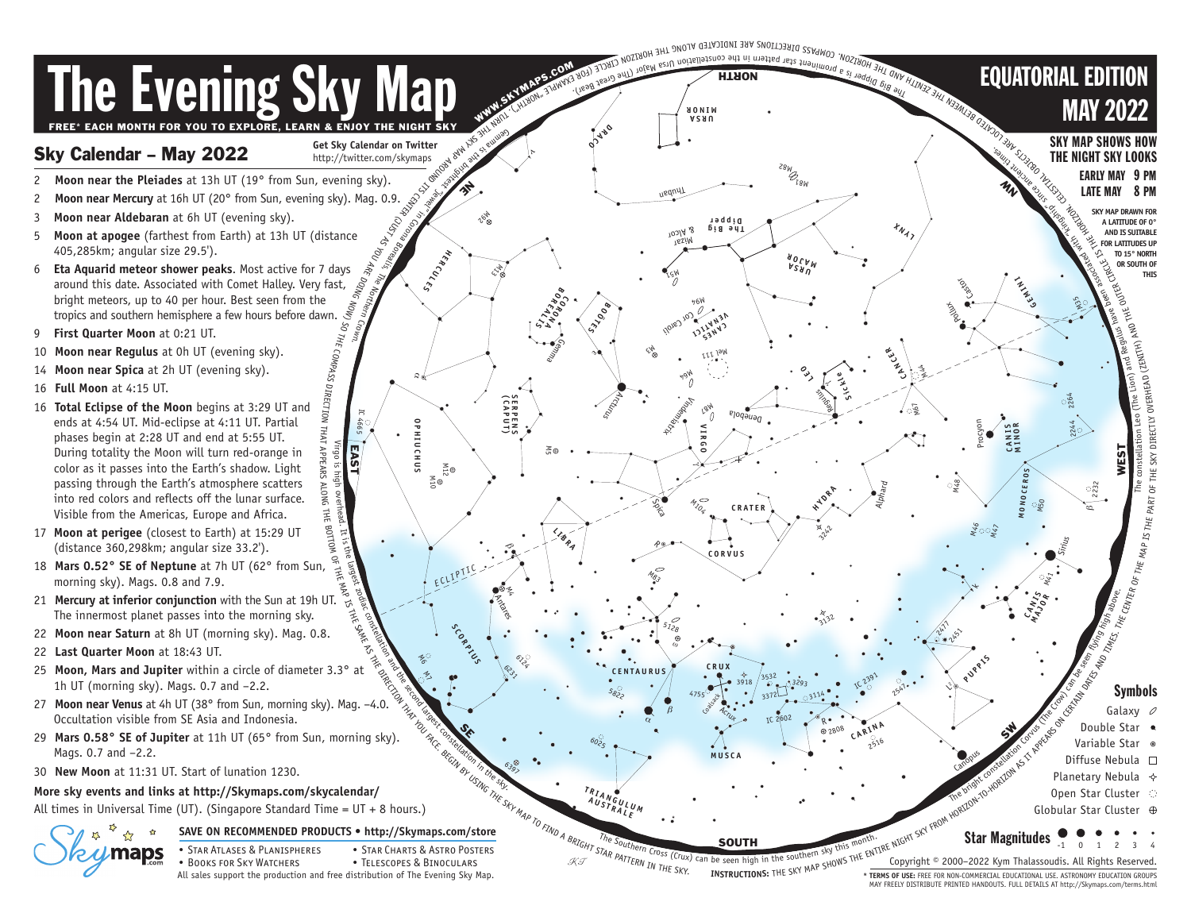